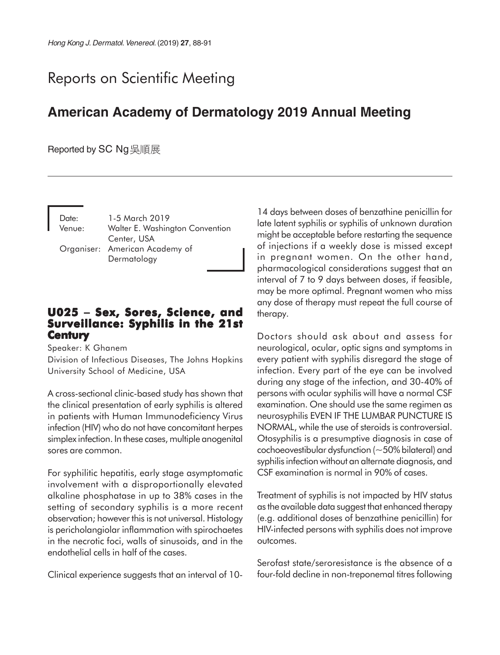# Reports on Scientific Meeting

# **American Academy of Dermatology 2019 Annual Meeting**

## Reported by SC Ng吳順展

Date: 1-5 March 2019 Venue: Walter E. Washington Convention Center, USA Organiser: American Academy of Dermatology

## **U025** − **Sex, Sores, Science, and Surveillance: Syphilis in the 21st Syphilis the 21st Century**

Speaker: K Ghanem

Division of Infectious Diseases, The Johns Hopkins University School of Medicine, USA

A cross-sectional clinic-based study has shown that the clinical presentation of early syphilis is altered in patients with Human Immunodeficiency Virus infection (HIV) who do not have concomitant herpes simplex infection. In these cases, multiple anogenital sores are common.

For syphilitic hepatitis, early stage asymptomatic involvement with a disproportionally elevated alkaline phosphatase in up to 38% cases in the setting of secondary syphilis is a more recent observation; however this is not universal. Histology is pericholangiolar inflammation with spirochaetes in the necrotic foci, walls of sinusoids, and in the endothelial cells in half of the cases.

Clinical experience suggests that an interval of 10-

14 days between doses of benzathine penicillin for late latent syphilis or syphilis of unknown duration might be acceptable before restarting the sequence of injections if a weekly dose is missed except in pregnant women. On the other hand, pharmacological considerations suggest that an interval of 7 to 9 days between doses, if feasible, may be more optimal. Pregnant women who miss any dose of therapy must repeat the full course of therapy.

Doctors should ask about and assess for neurological, ocular, optic signs and symptoms in every patient with syphilis disregard the stage of infection. Every part of the eye can be involved during any stage of the infection, and 30-40% of persons with ocular syphilis will have a normal CSF examination. One should use the same regimen as neurosyphilis EVEN IF THE LUMBAR PUNCTURE IS NORMAL, while the use of steroids is controversial. Otosyphilis is a presumptive diagnosis in case of cochoeovestibular dysfunction (~50% bilateral) and syphilis infection without an alternate diagnosis, and CSF examination is normal in 90% of cases.

Treatment of syphilis is not impacted by HIV status as the available data suggest that enhanced therapy (e.g. additional doses of benzathine penicillin) for HIV-infected persons with syphilis does not improve outcomes.

Serofast state/seroresistance is the absence of a four-fold decline in non-treponemal titres following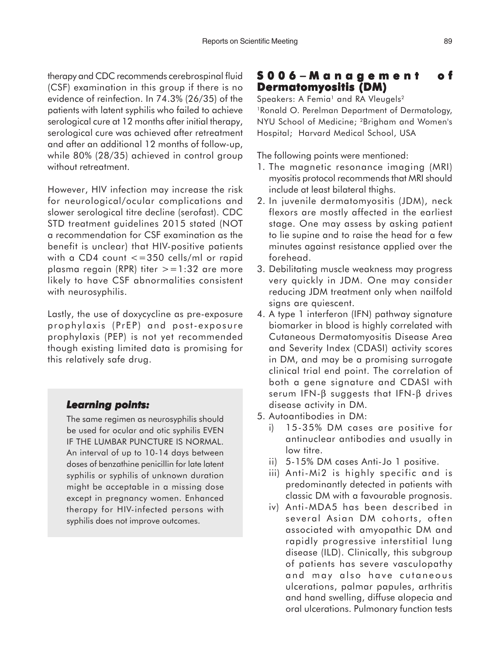therapy and CDC recommends cerebrospinal fluid (CSF) examination in this group if there is no evidence of reinfection. In 74.3% (26/35) of the patients with latent syphilis who failed to achieve serological cure at 12 months after initial therapy, serological cure was achieved after retreatment and after an additional 12 months of follow-up, while 80% (28/35) achieved in control group without retreatment.

However, HIV infection may increase the risk for neurological/ocular complications and slower serological titre decline (serofast). CDC STD treatment guidelines 2015 stated (NOT a recommendation for CSF examination as the benefit is unclear) that HIV-positive patients with a CD4 count  $\epsilon$  = 350 cells/ml or rapid plasma regain (RPR) titer  $> = 1:32$  are more likely to have CSF abnormalities consistent with neurosyphilis.

Lastly, the use of doxycycline as pre-exposure prophylaxis (PrEP) and post-exposure prophylaxis (PEP) is not yet recommended though existing limited data is promising for this relatively safe drug.

#### *Learning points: Learning points:*

The same regimen as neurosyphilis should be used for ocular and otic syphilis EVEN IF THE LUMBAR PUNCTURE IS NORMAL. An interval of up to 10-14 days between doses of benzathine penicillin for late latent syphilis or syphilis of unknown duration might be acceptable in a missing dose except in pregnancy women. Enhanced therapy for HIV-infected persons with syphilis does not improve outcomes.

## **S006** − **Management of Management of Dermatomyositis (DM) (DM)**

Speakers: A Femia<sup>1</sup> and RA Vleugels<sup>2</sup> 1Ronald O. Perelman Department of Dermatology, NYU School of Medicine; 2Brigham and Women's Hospital; Harvard Medical School, USA

The following points were mentioned:

- 1. The magnetic resonance imaging (MRI) myositis protocol recommends that MRI should include at least bilateral thighs.
- 2. In juvenile dermatomyositis (JDM), neck flexors are mostly affected in the earliest stage. One may assess by asking patient to lie supine and to raise the head for a few minutes against resistance applied over the forehead.
- 3. Debilitating muscle weakness may progress very quickly in JDM. One may consider reducing JDM treatment only when nailfold signs are quiescent.
- 4. A type 1 interferon (IFN) pathway signature biomarker in blood is highly correlated with Cutaneous Dermatomyositis Disease Area and Severity Index (CDASI) activity scores in DM, and may be a promising surrogate clinical trial end point. The correlation of both a gene signature and CDASI with serum IFN-β suggests that IFN-β drives disease activity in DM.
- 5. Autoantibodies in DM:
	- i) 15-35% DM cases are positive for antinuclear antibodies and usually in low titre.
	- ii) 5-15% DM cases Anti-Jo 1 positive.
	- iii) Anti-Mi2 is highly specific and is predominantly detected in patients with classic DM with a favourable prognosis.
	- iv) Anti-MDA5 has been described in several Asian DM cohorts, often associated with amyopathic DM and rapidly progressive interstitial lung disease (ILD). Clinically, this subgroup of patients has severe vasculopathy and may also have cutaneous ulcerations, palmar papules, arthritis and hand swelling, diffuse alopecia and oral ulcerations. Pulmonary function tests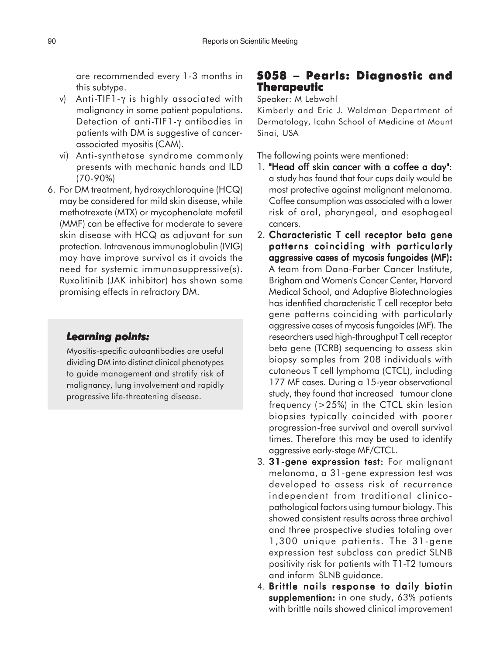are recommended every 1-3 months in this subtype.

- v) Anti-TIF1-γ is highly associated with malignancy in some patient populations. Detection of anti-TIF1-γ antibodies in patients with DM is suggestive of cancerassociated myositis (CAM).
- vi) Anti-synthetase syndrome commonly presents with mechanic hands and ILD (70-90%)
- 6. For DM treatment, hydroxychloroquine (HCQ) may be considered for mild skin disease, while methotrexate (MTX) or mycophenolate mofetil (MMF) can be effective for moderate to severe skin disease with HCQ as adjuvant for sun protection. Intravenous immunoglobulin (IVIG) may have improve survival as it avoids the need for systemic immunosuppressive(s). Ruxolitinib (JAK inhibitor) has shown some promising effects in refractory DM.

#### *Learning points: Learning points:*

Myositis-specific autoantibodies are useful dividing DM into distinct clinical phenotypes to guide management and stratify risk of malignancy, lung involvement and rapidly progressive life-threatening disease.

## **S058** − **Pearls: Diagnostic and Therapeutic**

## Speaker: M Lebwohl

Kimberly and Eric J. Waldman Department of Dermatology, Icahn School of Medicine at Mount Sinai, USA

The following points were mentioned:

- 1. "Head off skin cancer with a coffee a day": a study has found that four cups daily would be most protective against malignant melanoma. Coffee consumption was associated with a lower risk of oral, pharyngeal, and esophageal cancers.
- 2. Characteristic T cell receptor beta gene patterns coinciding with particularly aggressive cases of mycosis fungoides (MF): A team from Dana-Farber Cancer Institute, Brigham and Women's Cancer Center, Harvard Medical School, and Adaptive Biotechnologies has identified characteristic T cell receptor beta gene patterns coinciding with particularly aggressive cases of mycosis fungoides (MF). The researchers used high-throughput T cell receptor beta gene (TCRB) sequencing to assess skin biopsy samples from 208 individuals with cutaneous T cell lymphoma (CTCL), including 177 MF cases. During a 15-year observational study, they found that increased tumour clone frequency (>25%) in the CTCL skin lesion biopsies typically coincided with poorer progression-free survival and overall survival times. Therefore this may be used to identify aggressive early-stage MF/CTCL.
- 3. 31-gene expression test: For malignant melanoma, a 31-gene expression test was developed to assess risk of recurrence independent from traditional clinicopathological factors using tumour biology. This showed consistent results across three archival and three prospective studies totaling over 1,300 unique patients. The 31-gene expression test subclass can predict SLNB positivity risk for patients with T1-T2 tumours and inform SLNB guidance.
- 4. Brittle nails response to daily biotin supplemention: in one study, 63% patients with brittle nails showed clinical improvement